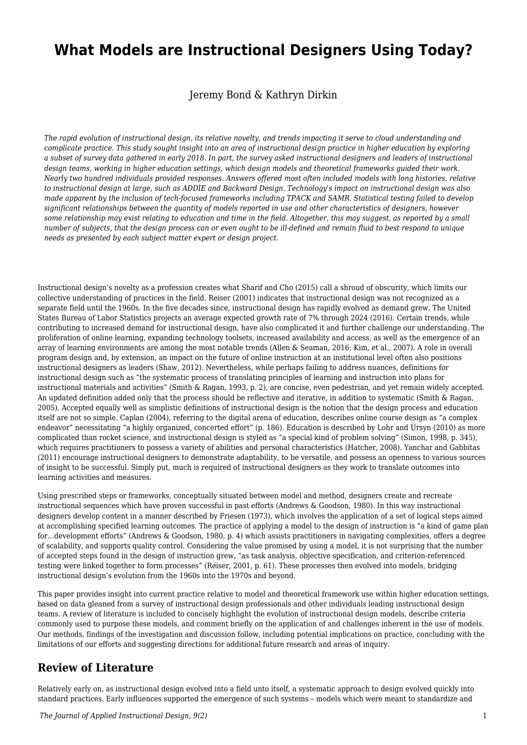# **What Models are Instructional Designers Using Today?**

Jeremy Bond & Kathryn Dirkin

*The rapid evolution of instructional design, its relative novelty, and trends impacting it serve to cloud understanding and complicate practice. This study sought insight into an area of instructional design practice in higher education by exploring a subset of survey data gathered in early 2018. In part, the survey asked instructional designers and leaders of instructional design teams, working in higher education settings, which design models and theoretical frameworks guided their work. Nearly two hundred individuals provided responses. Answers offered most often included models with long histories, relative to instructional design at large, such as ADDIE and Backward Design. Technology's impact on instructional design was also made apparent by the inclusion of tech-focused frameworks including TPACK and SAMR. Statistical testing failed to develop significant relationships between the quantity of models reported in use and other characteristics of designers, however some relationship may exist relating to education and time in the field. Altogether, this may suggest, as reported by a small number of subjects, that the design process can or even ought to be ill-defined and remain fluid to best respond to unique needs as presented by each subject matter expert or design project.*

Instructional design's novelty as a profession creates what Sharif and Cho (2015) call a shroud of obscurity, which limits our collective understanding of practices in the field. Reiser (2001) indicates that instructional design was not recognized as a separate field until the 1960s. In the five decades since, instructional design has rapidly evolved as demand grew. The United States Bureau of Labor Statistics projects an average expected growth rate of 7% through 2024 (2016). Certain trends, while contributing to increased demand for instructional design, have also complicated it and further challenge our understanding. The proliferation of online learning, expanding technology toolsets, increased availability and access, as well as the emergence of an array of learning environments are among the most notable trends (Allen & Seaman, 2016; Kim, et al., 2007). A role in overall program design and, by extension, an impact on the future of online instruction at an institutional level often also positions instructional designers as leaders (Shaw, 2012). Nevertheless, while perhaps failing to address nuances, definitions for instructional design such as "the systematic process of translating principles of learning and instruction into plans for instructional materials and activities" (Smith & Ragan, 1993, p. 2), are concise, even pedestrian, and yet remain widely accepted. An updated definition added only that the process should be reflective and iterative, in addition to systematic (Smith & Ragan, 2005). Accepted equally well as simplistic definitions of instructional design is the notion that the design process and education itself are not so simple. Caplan (2004), referring to the digital arena of education, describes online course design as "a complex endeavor" necessitating "a highly organized, concerted effort" (p. 186). Education is described by Lohr and Ursyn (2010) as more complicated than rocket science, and instructional design is styled as "a special kind of problem solving" (Simon, 1998, p. 345), which requires practitioners to possess a variety of abilities and personal characteristics (Hatcher, 2008). Yanchar and Gabbitas (2011) encourage instructional designers to demonstrate adaptability, to be versatile, and possess an openness to various sources of insight to be successful. Simply put, much is required of instructional designers as they work to translate outcomes into learning activities and measures.

Using prescribed steps or frameworks, conceptually situated between model and method, designers create and recreate instructional sequences which have proven successful in past efforts (Andrews & Goodson, 1980). In this way instructional designers develop content in a manner described by Friesen (1973), which involves the application of a set of logical steps aimed at accomplishing specified learning outcomes. The practice of applying a model to the design of instruction is "a kind of game plan for…development efforts" (Andrews & Goodson, 1980, p. 4) which assists practitioners in navigating complexities, offers a degree of scalability, and supports quality control. Considering the value promised by using a model, it is not surprising that the number of accepted steps found in the design of instruction grew, "as task analysis, objective specification, and criterion-referenced testing were linked together to form processes" (Reiser, 2001, p. 61). These processes then evolved into models, bridging instructional design's evolution from the 1960s into the 1970s and beyond.

This paper provides insight into current practice relative to model and theoretical framework use within higher education settings, based on data gleaned from a survey of instructional design professionals and other individuals leading instructional design teams. A review of literature is included to concisely highlight the evolution of instructional design models, describe criteria commonly used to purpose these models, and comment briefly on the application of and challenges inherent in the use of models. Our methods, findings of the investigation and discussion follow, including potential implications on practice, concluding with the limitations of our efforts and suggesting directions for additional future research and areas of inquiry.

### **Review of Literature**

Relatively early on, as instructional design evolved into a field unto itself, a systematic approach to design evolved quickly into standard practices. Early influences supported the emergence of such systems – models which were meant to standardize and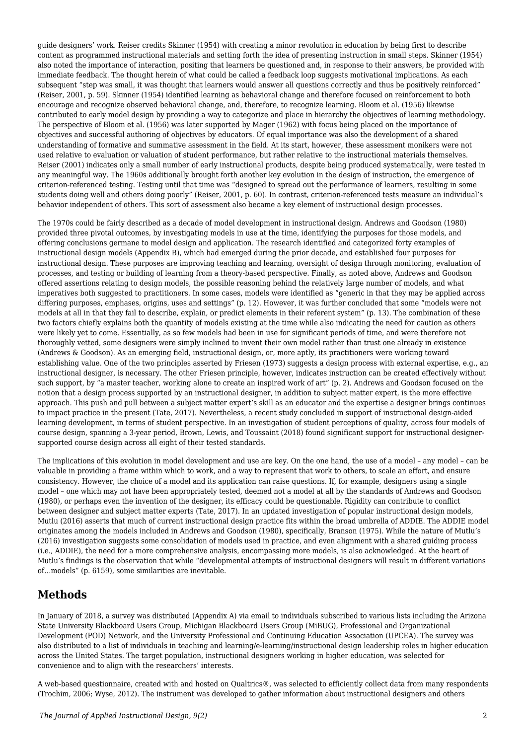guide designers' work. Reiser credits Skinner (1954) with creating a minor revolution in education by being first to describe content as programmed instructional materials and setting forth the idea of presenting instruction in small steps. Skinner (1954) also noted the importance of interaction, positing that learners be questioned and, in response to their answers, be provided with immediate feedback. The thought herein of what could be called a feedback loop suggests motivational implications. As each subsequent "step was small, it was thought that learners would answer all questions correctly and thus be positively reinforced" (Reiser, 2001, p. 59). Skinner (1954) identified learning as behavioral change and therefore focused on reinforcement to both encourage and recognize observed behavioral change, and, therefore, to recognize learning. Bloom et al. (1956) likewise contributed to early model design by providing a way to categorize and place in hierarchy the objectives of learning methodology. The perspective of Bloom et al. (1956) was later supported by Mager (1962) with focus being placed on the importance of objectives and successful authoring of objectives by educators. Of equal importance was also the development of a shared understanding of formative and summative assessment in the field. At its start, however, these assessment monikers were not used relative to evaluation or valuation of student performance, but rather relative to the instructional materials themselves. Reiser (2001) indicates only a small number of early instructional products, despite being produced systematically, were tested in any meaningful way. The 1960s additionally brought forth another key evolution in the design of instruction, the emergence of criterion-referenced testing. Testing until that time was "designed to spread out the performance of learners, resulting in some students doing well and others doing poorly" (Reiser, 2001, p. 60). In contrast, criterion-referenced tests measure an individual's behavior independent of others. This sort of assessment also became a key element of instructional design processes.

The 1970s could be fairly described as a decade of model development in instructional design. Andrews and Goodson (1980) provided three pivotal outcomes, by investigating models in use at the time, identifying the purposes for those models, and offering conclusions germane to model design and application. The research identified and categorized forty examples of instructional design models (Appendix B), which had emerged during the prior decade, and established four purposes for instructional design. These purposes are improving teaching and learning, oversight of design through monitoring, evaluation of processes, and testing or building of learning from a theory-based perspective. Finally, as noted above, Andrews and Goodson offered assertions relating to design models, the possible reasoning behind the relatively large number of models, and what imperatives both suggested to practitioners. In some cases, models were identified as "generic in that they may be applied across differing purposes, emphases, origins, uses and settings" (p. 12). However, it was further concluded that some "models were not models at all in that they fail to describe, explain, or predict elements in their referent system" (p. 13). The combination of these two factors chiefly explains both the quantity of models existing at the time while also indicating the need for caution as others were likely yet to come. Essentially, as so few models had been in use for significant periods of time, and were therefore not thoroughly vetted, some designers were simply inclined to invent their own model rather than trust one already in existence (Andrews & Goodson). As an emerging field, instructional design, or, more aptly, its practitioners were working toward establishing value. One of the two principles asserted by Friesen (1973) suggests a design process with external expertise, e.g., an instructional designer, is necessary. The other Friesen principle, however, indicates instruction can be created effectively without such support, by "a master teacher, working alone to create an inspired work of art" (p. 2). Andrews and Goodson focused on the notion that a design process supported by an instructional designer, in addition to subject matter expert, is the more effective approach. This push and pull between a subject matter expert's skill as an educator and the expertise a designer brings continues to impact practice in the present (Tate, 2017). Nevertheless, a recent study concluded in support of instructional design-aided learning development, in terms of student perspective. In an investigation of student perceptions of quality, across four models of course design, spanning a 3-year period, Brown, Lewis, and Toussaint (2018) found significant support for instructional designersupported course design across all eight of their tested standards.

The implications of this evolution in model development and use are key. On the one hand, the use of a model – any model – can be valuable in providing a frame within which to work, and a way to represent that work to others, to scale an effort, and ensure consistency. However, the choice of a model and its application can raise questions. If, for example, designers using a single model – one which may not have been appropriately tested, deemed not a model at all by the standards of Andrews and Goodson (1980), or perhaps even the invention of the designer, its efficacy could be questionable. Rigidity can contribute to conflict between designer and subject matter experts (Tate, 2017). In an updated investigation of popular instructional design models, Mutlu (2016) asserts that much of current instructional design practice fits within the broad umbrella of ADDIE. The ADDIE model originates among the models included in Andrews and Goodson (1980), specifically, Branson (1975). While the nature of Mutlu's (2016) investigation suggests some consolidation of models used in practice, and even alignment with a shared guiding process (i.e., ADDIE), the need for a more comprehensive analysis, encompassing more models, is also acknowledged. At the heart of Mutlu's findings is the observation that while "developmental attempts of instructional designers will result in different variations of…models" (p. 6159), some similarities are inevitable.

## **Methods**

In January of 2018, a survey was distributed (Appendix A) via email to individuals subscribed to various lists including the Arizona State University Blackboard Users Group, Michigan Blackboard Users Group (MiBUG), Professional and Organizational Development (POD) Network, and the University Professional and Continuing Education Association (UPCEA). The survey was also distributed to a list of individuals in teaching and learning/e-learning/instructional design leadership roles in higher education across the United States. The target population, instructional designers working in higher education, was selected for convenience and to align with the researchers' interests.

A web-based questionnaire, created with and hosted on Qualtrics®, was selected to efficiently collect data from many respondents (Trochim, 2006; Wyse, 2012). The instrument was developed to gather information about instructional designers and others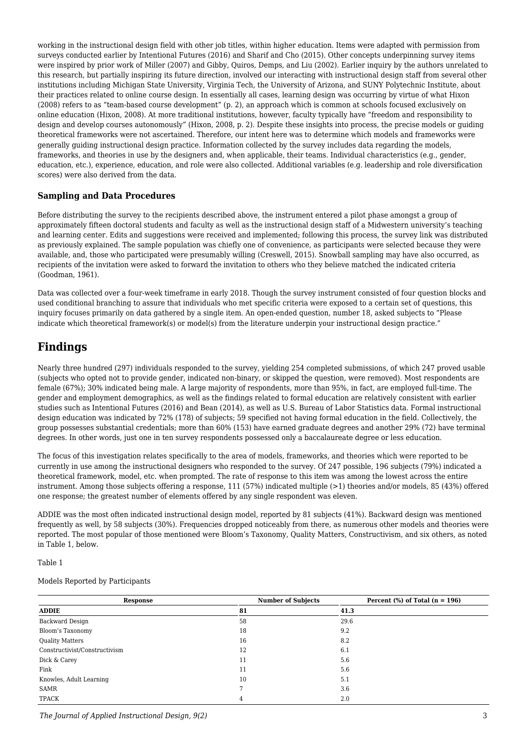working in the instructional design field with other job titles, within higher education. Items were adapted with permission from surveys conducted earlier by Intentional Futures (2016) and Sharif and Cho (2015). Other concepts underpinning survey items were inspired by prior work of Miller (2007) and Gibby, Quiros, Demps, and Liu (2002). Earlier inquiry by the authors unrelated to this research, but partially inspiring its future direction, involved our interacting with instructional design staff from several other institutions including Michigan State University, Virginia Tech, the University of Arizona, and SUNY Polytechnic Institute, about their practices related to online course design. In essentially all cases, learning design was occurring by virtue of what Hixon (2008) refers to as "team-based course development" (p. 2), an approach which is common at schools focused exclusively on online education (Hixon, 2008). At more traditional institutions, however, faculty typically have "freedom and responsibility to design and develop courses autonomously" (Hixon, 2008, p. 2). Despite these insights into process, the precise models or guiding theoretical frameworks were not ascertained. Therefore, our intent here was to determine which models and frameworks were generally guiding instructional design practice. Information collected by the survey includes data regarding the models, frameworks, and theories in use by the designers and, when applicable, their teams. Individual characteristics (e.g., gender, education, etc.), experience, education, and role were also collected. Additional variables (e.g. leadership and role diversification scores) were also derived from the data.

#### **Sampling and Data Procedures**

Before distributing the survey to the recipients described above, the instrument entered a pilot phase amongst a group of approximately fifteen doctoral students and faculty as well as the instructional design staff of a Midwestern university's teaching and learning center. Edits and suggestions were received and implemented; following this process, the survey link was distributed as previously explained. The sample population was chiefly one of convenience, as participants were selected because they were available, and, those who participated were presumably willing (Creswell, 2015). Snowball sampling may have also occurred, as recipients of the invitation were asked to forward the invitation to others who they believe matched the indicated criteria (Goodman, 1961).

Data was collected over a four-week timeframe in early 2018. Though the survey instrument consisted of four question blocks and used conditional branching to assure that individuals who met specific criteria were exposed to a certain set of questions, this inquiry focuses primarily on data gathered by a single item. An open-ended question, number 18, asked subjects to "Please indicate which theoretical framework(s) or model(s) from the literature underpin your instructional design practice."

### **Findings**

Nearly three hundred (297) individuals responded to the survey, yielding 254 completed submissions, of which 247 proved usable (subjects who opted not to provide gender, indicated non-binary, or skipped the question, were removed). Most respondents are female (67%); 30% indicated being male. A large majority of respondents, more than 95%, in fact, are employed full-time. The gender and employment demographics, as well as the findings related to formal education are relatively consistent with earlier studies such as Intentional Futures (2016) and Bean (2014), as well as U.S. Bureau of Labor Statistics data. Formal instructional design education was indicated by 72% (178) of subjects; 59 specified not having formal education in the field. Collectively, the group possesses substantial credentials; more than 60% (153) have earned graduate degrees and another 29% (72) have terminal degrees. In other words, just one in ten survey respondents possessed only a baccalaureate degree or less education.

The focus of this investigation relates specifically to the area of models, frameworks, and theories which were reported to be currently in use among the instructional designers who responded to the survey. Of 247 possible, 196 subjects (79%) indicated a theoretical framework, model, etc. when prompted. The rate of response to this item was among the lowest across the entire instrument. Among those subjects offering a response, 111 (57%) indicated multiple (>1) theories and/or models, 85 (43%) offered one response; the greatest number of elements offered by any single respondent was eleven.

ADDIE was the most often indicated instructional design model, reported by 81 subjects (41%). Backward design was mentioned frequently as well, by 58 subjects (30%). Frequencies dropped noticeably from there, as numerous other models and theories were reported. The most popular of those mentioned were Bloom's Taxonomy, Quality Matters, Constructivism, and six others, as noted in Table 1, below.

Table 1

#### Models Reported by Participants

| <b>Response</b><br><b>ADDIE</b> | <b>Number of Subjects</b><br>81 | Percent $%$ of Total (n = 196)<br>41.3 |
|---------------------------------|---------------------------------|----------------------------------------|
|                                 |                                 |                                        |
| Bloom's Taxonomy                | 18                              | 9.2                                    |
| <b>Quality Matters</b>          | 16                              | 8.2                                    |
| Constructivist/Constructivism   | 12                              | 6.1                                    |
| Dick & Carey                    | 11                              | 5.6                                    |
| Fink                            | 11                              | 5.6                                    |
| Knowles, Adult Learning         | 10                              | 5.1                                    |
| SAMR                            |                                 | 3.6                                    |
| TPACK                           | 4                               | 2.0                                    |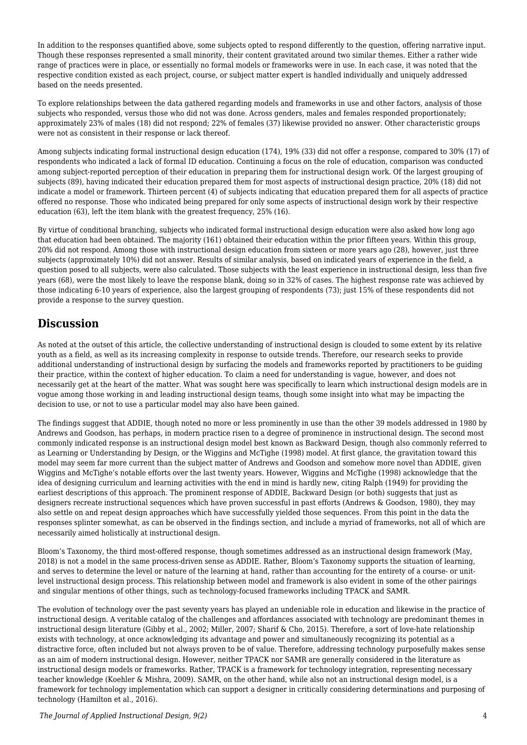In addition to the responses quantified above, some subjects opted to respond differently to the question, offering narrative input. Though these responses represented a small minority, their content gravitated around two similar themes. Either a rather wide range of practices were in place, or essentially no formal models or frameworks were in use. In each case, it was noted that the respective condition existed as each project, course, or subject matter expert is handled individually and uniquely addressed based on the needs presented.

To explore relationships between the data gathered regarding models and frameworks in use and other factors, analysis of those subjects who responded, versus those who did not was done. Across genders, males and females responded proportionately; approximately 23% of males (18) did not respond; 22% of females (37) likewise provided no answer. Other characteristic groups were not as consistent in their response or lack thereof.

Among subjects indicating formal instructional design education (174), 19% (33) did not offer a response, compared to 30% (17) of respondents who indicated a lack of formal ID education. Continuing a focus on the role of education, comparison was conducted among subject-reported perception of their education in preparing them for instructional design work. Of the largest grouping of subjects (89), having indicated their education prepared them for most aspects of instructional design practice, 20% (18) did not indicate a model or framework. Thirteen percent (4) of subjects indicating that education prepared them for all aspects of practice offered no response. Those who indicated being prepared for only some aspects of instructional design work by their respective education (63), left the item blank with the greatest frequency, 25% (16).

By virtue of conditional branching, subjects who indicated formal instructional design education were also asked how long ago that education had been obtained. The majority (161) obtained their education within the prior fifteen years. Within this group, 20% did not respond. Among those with instructional design education from sixteen or more years ago (28), however, just three subjects (approximately 10%) did not answer. Results of similar analysis, based on indicated years of experience in the field, a question posed to all subjects, were also calculated. Those subjects with the least experience in instructional design, less than five years (68), were the most likely to leave the response blank, doing so in 32% of cases. The highest response rate was achieved by those indicating 6-10 years of experience, also the largest grouping of respondents (73); just 15% of these respondents did not provide a response to the survey question.

### **Discussion**

As noted at the outset of this article, the collective understanding of instructional design is clouded to some extent by its relative youth as a field, as well as its increasing complexity in response to outside trends. Therefore, our research seeks to provide additional understanding of instructional design by surfacing the models and frameworks reported by practitioners to be guiding their practice, within the context of higher education. To claim a need for understanding is vague, however, and does not necessarily get at the heart of the matter. What was sought here was specifically to learn which instructional design models are in vogue among those working in and leading instructional design teams, though some insight into what may be impacting the decision to use, or not to use a particular model may also have been gained.

The findings suggest that ADDIE, though noted no more or less prominently in use than the other 39 models addressed in 1980 by Andrews and Goodson, has perhaps, in modern practice risen to a degree of prominence in instructional design. The second most commonly indicated response is an instructional design model best known as Backward Design, though also commonly referred to as Learning or Understanding by Design, or the Wiggins and McTighe (1998) model. At first glance, the gravitation toward this model may seem far more current than the subject matter of Andrews and Goodson and somehow more novel than ADDIE, given Wiggins and McTighe's notable efforts over the last twenty years. However, Wiggins and McTighe (1998) acknowledge that the idea of designing curriculum and learning activities with the end in mind is hardly new, citing Ralph (1949) for providing the earliest descriptions of this approach. The prominent response of ADDIE, Backward Design (or both) suggests that just as designers recreate instructional sequences which have proven successful in past efforts (Andrews & Goodson, 1980), they may also settle on and repeat design approaches which have successfully yielded those sequences. From this point in the data the responses splinter somewhat, as can be observed in the findings section, and include a myriad of frameworks, not all of which are necessarily aimed holistically at instructional design.

Bloom's Taxonomy, the third most-offered response, though sometimes addressed as an instructional design framework (May, 2018) is not a model in the same process-driven sense as ADDIE. Rather, Bloom's Taxonomy supports the situation of learning, and serves to determine the level or nature of the learning at hand, rather than accounting for the entirety of a course- or unitlevel instructional design process. This relationship between model and framework is also evident in some of the other pairings and singular mentions of other things, such as technology-focused frameworks including TPACK and SAMR.

The evolution of technology over the past seventy years has played an undeniable role in education and likewise in the practice of instructional design. A veritable catalog of the challenges and affordances associated with technology are predominant themes in instructional design literature (Gibby et al., 2002; Miller, 2007; Sharif & Cho, 2015). Therefore, a sort of love-hate relationship exists with technology, at once acknowledging its advantage and power and simultaneously recognizing its potential as a distractive force, often included but not always proven to be of value. Therefore, addressing technology purposefully makes sense as an aim of modern instructional design. However, neither TPACK nor SAMR are generally considered in the literature as instructional design models or frameworks. Rather, TPACK is a framework for technology integration, representing necessary teacher knowledge (Koehler & Mishra, 2009). SAMR, on the other hand, while also not an instructional design model, is a framework for technology implementation which can support a designer in critically considering determinations and purposing of technology (Hamilton et al., 2016).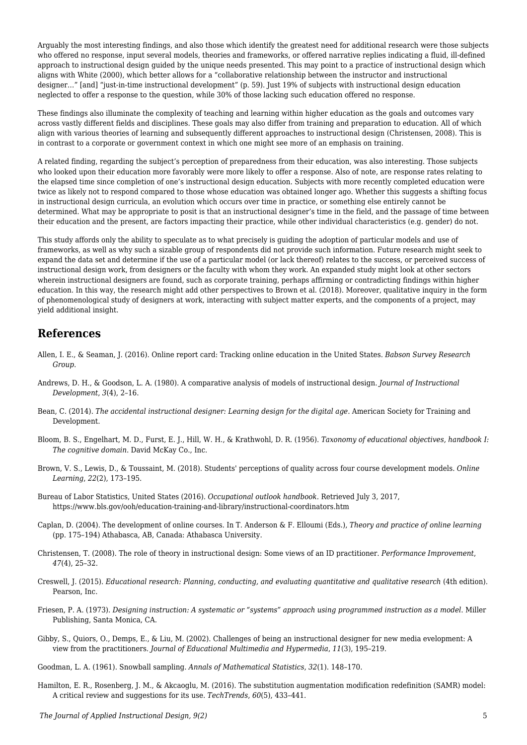Arguably the most interesting findings, and also those which identify the greatest need for additional research were those subjects who offered no response, input several models, theories and frameworks, or offered narrative replies indicating a fluid, ill-defined approach to instructional design guided by the unique needs presented. This may point to a practice of instructional design which aligns with White (2000), which better allows for a "collaborative relationship between the instructor and instructional designer…" [and] "just-in-time instructional development" (p. 59). Just 19% of subjects with instructional design education neglected to offer a response to the question, while 30% of those lacking such education offered no response.

These findings also illuminate the complexity of teaching and learning within higher education as the goals and outcomes vary across vastly different fields and disciplines. These goals may also differ from training and preparation to education. All of which align with various theories of learning and subsequently different approaches to instructional design (Christensen, 2008). This is in contrast to a corporate or government context in which one might see more of an emphasis on training.

A related finding, regarding the subject's perception of preparedness from their education, was also interesting. Those subjects who looked upon their education more favorably were more likely to offer a response. Also of note, are response rates relating to the elapsed time since completion of one's instructional design education. Subjects with more recently completed education were twice as likely not to respond compared to those whose education was obtained longer ago. Whether this suggests a shifting focus in instructional design curricula, an evolution which occurs over time in practice, or something else entirely cannot be determined. What may be appropriate to posit is that an instructional designer's time in the field, and the passage of time between their education and the present, are factors impacting their practice, while other individual characteristics (e.g. gender) do not.

This study affords only the ability to speculate as to what precisely is guiding the adoption of particular models and use of frameworks, as well as why such a sizable group of respondents did not provide such information. Future research might seek to expand the data set and determine if the use of a particular model (or lack thereof) relates to the success, or perceived success of instructional design work, from designers or the faculty with whom they work. An expanded study might look at other sectors wherein instructional designers are found, such as corporate training, perhaps affirming or contradicting findings within higher education. In this way, the research might add other perspectives to Brown et al. (2018). Moreover, qualitative inquiry in the form of phenomenological study of designers at work, interacting with subject matter experts, and the components of a project, may yield additional insight.

#### **References**

- Allen, I. E., & Seaman, J. (2016). Online report card: Tracking online education in the United States. *Babson Survey Research Group*.
- Andrews, D. H., & Goodson, L. A. (1980). A comparative analysis of models of instructional design. *Journal of Instructional Development*, *3*(4), 2–16.
- Bean, C. (2014). *The accidental instructional designer: Learning design for the digital age*. American Society for Training and Development.
- Bloom, B. S., Engelhart, M. D., Furst, E. J., Hill, W. H., & Krathwohl, D. R. (1956). *Taxonomy of educational objectives, handbook I: The cognitive domain*. David McKay Co., Inc.
- Brown, V. S., Lewis, D., & Toussaint, M. (2018). Students' perceptions of quality across four course development models. *Online Learning*, *22*(2), 173–195.
- Bureau of Labor Statistics, United States (2016). *Occupational outlook handbook.* Retrieved July 3, 2017, https://www.bls.gov/ooh/education-training-and-library/instructional-coordinators.htm
- Caplan, D. (2004). The development of online courses. In T. Anderson & F. Elloumi (Eds.), *Theory and practice of online learning* (pp. 175–194) Athabasca, AB, Canada: Athabasca University.
- Christensen, T. (2008). The role of theory in instructional design: Some views of an ID practitioner. *Performance Improvement*, *47*(4), 25–32.
- Creswell, J. (2015). *Educational research: Planning, conducting, and evaluating quantitative and qualitative research* (4th edition). Pearson, Inc.
- Friesen, P. A. (1973). *Designing instruction: A systematic or "systems" approach using programmed instruction as a model*. Miller Publishing, Santa Monica, CA.
- Gibby, S., Quiors, O., Demps, E., & Liu, M. (2002). Challenges of being an instructional designer for new media evelopment: A view from the practitioners. *Journal of Educational Multimedia and Hypermedia*, *11*(3), 195–219.
- Goodman, L. A. (1961). Snowball sampling. *Annals of Mathematical Statistics*, *32*(1). 148–170.
- Hamilton, E. R., Rosenberg, J. M., & Akcaoglu, M. (2016). The substitution augmentation modification redefinition (SAMR) model: A critical review and suggestions for its use. *TechTrends*, *60*(5), 433–441.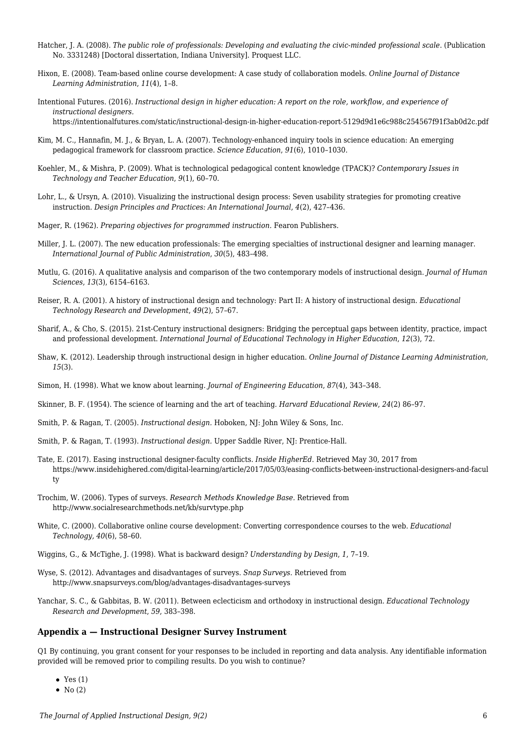- Hatcher, J. A. (2008). *The public role of professionals: Developing and evaluating the civic-minded professional scale*. (Publication No. 3331248) [Doctoral dissertation, Indiana University]. Proquest LLC.
- Hixon, E. (2008). Team-based online course development: A case study of collaboration models. *Online Journal of Distance Learning Administration*, *11*(4), 1–8.
- Intentional Futures. (2016). *Instructional design in higher education: A report on the role, workflow, and experience of instructional designers.* https://intentionalfutures.com/static/instructional-design-in-higher-education-report-5129d9d1e6c988c254567f91f3ab0d2c.pdf
- Kim, M. C., Hannafin, M. J., & Bryan, L. A. (2007). Technology-enhanced inquiry tools in science education: An emerging pedagogical framework for classroom practice. *Science Education*, *91*(6), 1010–1030.
- Koehler, M., & Mishra, P. (2009). What is technological pedagogical content knowledge (TPACK)? *Contemporary Issues in Technology and Teacher Education*, *9*(1), 60–70.
- Lohr, L., & Ursyn, A. (2010). Visualizing the instructional design process: Seven usability strategies for promoting creative instruction. *Design Principles and Practices: An International Journal*, *4*(2), 427–436.
- Mager, R. (1962). *Preparing objectives for programmed instruction.* Fearon Publishers.
- Miller, J. L. (2007). The new education professionals: The emerging specialties of instructional designer and learning manager. *International Journal of Public Administration*, *30*(5), 483–498.
- Mutlu, G. (2016). A qualitative analysis and comparison of the two contemporary models of instructional design. *Journal of Human Sciences*, *13*(3), 6154–6163.
- Reiser, R. A. (2001). A history of instructional design and technology: Part II: A history of instructional design. *Educational Technology Research and Development*, *49*(2), 57–67.
- Sharif, A., & Cho, S. (2015). 21st-Century instructional designers: Bridging the perceptual gaps between identity, practice, impact and professional development. *International Journal of Educational Technology in Higher Education*, *12*(3), 72.
- Shaw, K. (2012). Leadership through instructional design in higher education. *Online Journal of Distance Learning Administration*, *15*(3).
- Simon, H. (1998). What we know about learning. *Journal of Engineering Education*, *87*(4), 343–348.
- Skinner, B. F. (1954). The science of learning and the art of teaching*. Harvard Educational Review*, *24*(2) 86–97.
- Smith, P. & Ragan, T. (2005). *Instructional design.* Hoboken, NJ: John Wiley & Sons, Inc.
- Smith, P. & Ragan, T. (1993). *Instructional design.* Upper Saddle River, NJ: Prentice-Hall.
- Tate, E. (2017). Easing instructional designer-faculty conflicts. *Inside HigherEd*. Retrieved May 30, 2017 from https://www.insidehighered.com/digital-learning/article/2017/05/03/easing-conflicts-between-instructional-designers-and-facul ty
- Trochim, W. (2006). Types of surveys. *Research Methods Knowledge Base.* Retrieved from http://www.socialresearchmethods.net/kb/survtype.php
- White, C. (2000). Collaborative online course development: Converting correspondence courses to the web. *Educational Technology, 40*(6), 58–60.
- Wiggins, G., & McTighe, J. (1998). What is backward design? *Understanding by Design*, *1*, 7–19.
- Wyse, S. (2012). Advantages and disadvantages of surveys. *Snap Surveys.* Retrieved from http://www.snapsurveys.com/blog/advantages-disadvantages-surveys
- Yanchar, S. C., & Gabbitas, B. W. (2011). Between eclecticism and orthodoxy in instructional design. *Educational Technology Research and Development*, *59*, 383–398.

#### **Appendix a — Instructional Designer Survey Instrument**

Q1 By continuing, you grant consent for your responses to be included in reporting and data analysis. Any identifiable information provided will be removed prior to compiling results. Do you wish to continue?

- $\bullet$  Yes  $(1)$
- $\bullet$  No (2)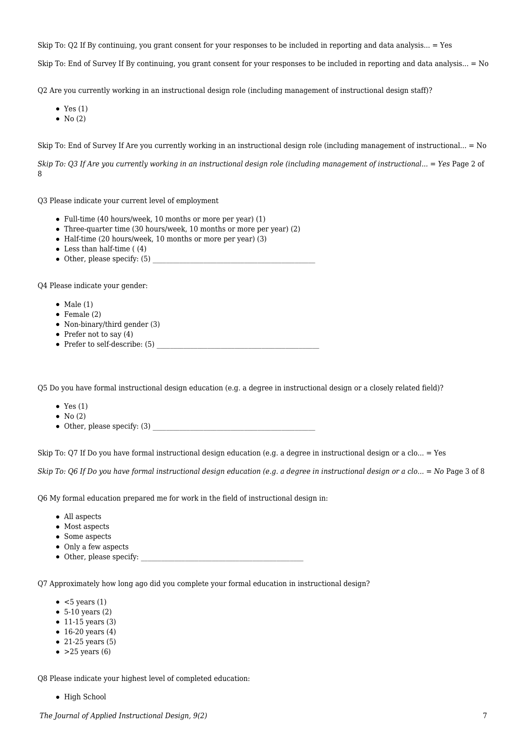Skip To: Q2 If By continuing, you grant consent for your responses to be included in reporting and data analysis... = Yes

Skip To: End of Survey If By continuing, you grant consent for your responses to be included in reporting and data analysis... = No

Q2 Are you currently working in an instructional design role (including management of instructional design staff)?

- Yes  $(1)$
- $\bullet$  No (2)

Skip To: End of Survey If Are you currently working in an instructional design role (including management of instructional... = No

*Skip To: O3 If Are you currently working in an instructional design role (including management of instructional... = Yes Page 2 of* 8

Q3 Please indicate your current level of employment

- Full-time (40 hours/week, 10 months or more per year) (1)
- Three-quarter time (30 hours/week, 10 months or more per year) (2)
- Half-time (20 hours/week, 10 months or more per year) (3)
- $\bullet$  Less than half-time ((4)
- $\bullet$  Other, please specify: (5)

Q4 Please indicate your gender:

- $\bullet$  Male (1)
- $\bullet$  Female (2)
- Non-binary/third gender (3)
- Prefer not to say  $(4)$
- Prefer to self-describe: (5)

Q5 Do you have formal instructional design education (e.g. a degree in instructional design or a closely related field)?

- $\bullet$  Yes (1)
- $\bullet$  No (2)
- $\bullet$  Other, please specify: (3)

Skip To: Q7 If Do you have formal instructional design education (e.g. a degree in instructional design or a clo... = Yes

*Skip To: O6 If Do you have formal instructional design education (e.g. a degree in instructional design or a clo... = No Page 3 of 8* 

Q6 My formal education prepared me for work in the field of instructional design in:

- All aspects
- Most aspects
- Some aspects
- Only a few aspects
- Other, please specify:

Q7 Approximately how long ago did you complete your formal education in instructional design?

- $\bullet$  <5 years (1)
- $\bullet$  5-10 years (2)
- $\bullet$  11-15 years (3)
- $\bullet$  16-20 years (4)
- $\bullet$  21-25 years (5)
- $\bullet$  >25 years (6)

Q8 Please indicate your highest level of completed education:

• High School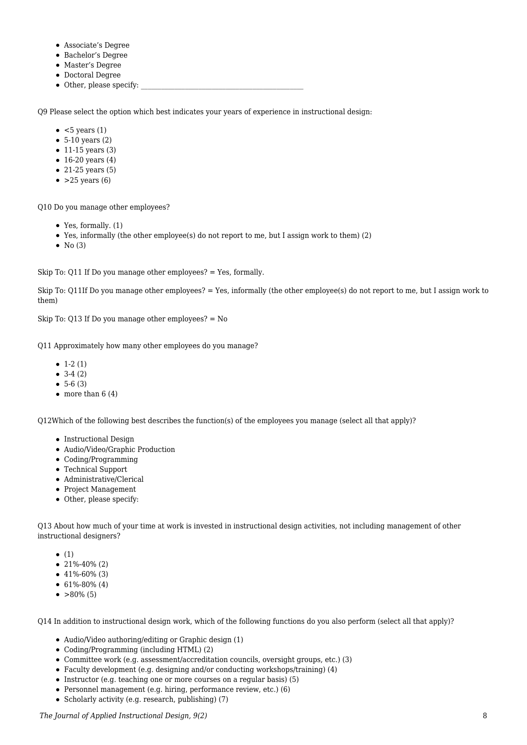- Associate's Degree
- Bachelor's Degree
- Master's Degree
- Doctoral Degree
- Other, please specify:

Q9 Please select the option which best indicates your years of experience in instructional design:

- $\bullet$  <5 years (1)
- $\bullet$  5-10 years (2)
- $\bullet$  11-15 years (3)
- $\bullet$  16-20 years (4)
- $\bullet$  21-25 years (5)
- $\bullet$  >25 years (6)

Q10 Do you manage other employees?

- Yes, formally. (1)
- Yes, informally (the other employee(s) do not report to me, but I assign work to them) (2)
- $\bullet$  No (3)

Skip To: Q11 If Do you manage other employees? = Yes, formally.

Skip To: Q11If Do you manage other employees? = Yes, informally (the other employee(s) do not report to me, but I assign work to them)

Skip To: Q13 If Do you manage other employees? = No

Q11 Approximately how many other employees do you manage?

- $\bullet$  1-2 (1)
- $-3-4(2)$
- $5-6(3)$
- $\bullet$  more than 6 (4)

Q12Which of the following best describes the function(s) of the employees you manage (select all that apply)?

- Instructional Design
- Audio/Video/Graphic Production
- Coding/Programming
- Technical Support
- Administrative/Clerical
- Project Management
- Other, please specify:

Q13 About how much of your time at work is invested in instructional design activities, not including management of other instructional designers?

- $\bullet$  (1)
- $\bullet$  21%-40% (2)
- $\bullet$  41%-60% (3)
- $\bullet$  61%-80% (4)
- $\bullet$  >80% (5)

Q14 In addition to instructional design work, which of the following functions do you also perform (select all that apply)?

- Audio/Video authoring/editing or Graphic design (1)
- Coding/Programming (including HTML) (2)
- Committee work (e.g. assessment/accreditation councils, oversight groups, etc.) (3)
- Faculty development (e.g. designing and/or conducting workshops/training) (4)
- $\bullet$  Instructor (e.g. teaching one or more courses on a regular basis) (5)
- Personnel management (e.g. hiring, performance review, etc.) (6)
- Scholarly activity (e.g. research, publishing) (7)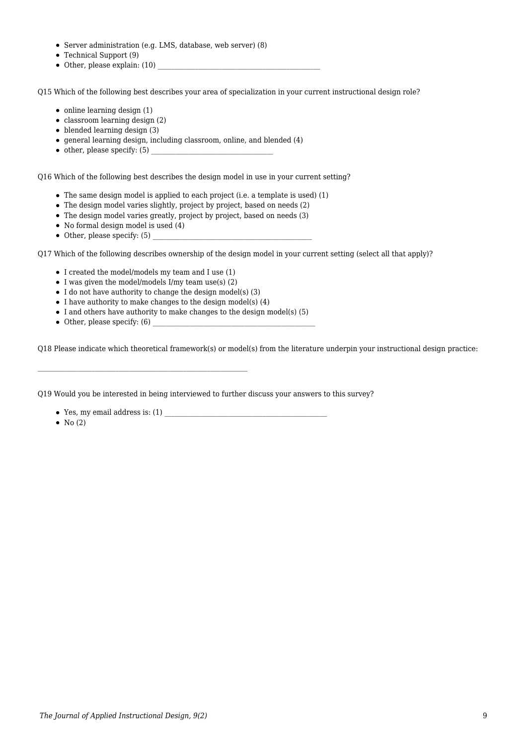- Server administration (e.g. LMS, database, web server) (8)
- Technical Support (9)
- $\bullet$  Other, please explain: (10)

Q15 Which of the following best describes your area of specialization in your current instructional design role?

- $\bullet$  online learning design (1)
- $\bullet$  classroom learning design (2)
- $\bullet$  blended learning design (3)
- $\bullet$  general learning design, including classroom, online, and blended (4)
- $\bullet$  other, please specify: (5)

Q16 Which of the following best describes the design model in use in your current setting?

- The same design model is applied to each project (i.e. a template is used) (1)
- The design model varies slightly, project by project, based on needs (2)
- The design model varies greatly, project by project, based on needs (3)
- No formal design model is used (4)
- $\bullet$  Other, please specify: (5)

Q17 Which of the following describes ownership of the design model in your current setting (select all that apply)?

- I created the model/models my team and I use (1)
- $\bullet$  I was given the model/models I/my team use(s) (2)
- $\bullet$  I do not have authority to change the design model(s) (3)
- $\bullet$  I have authority to make changes to the design model(s) (4)
- $\bullet$  I and others have authority to make changes to the design model(s) (5)
- $\bullet$  Other, please specify: (6)

Q18 Please indicate which theoretical framework(s) or model(s) from the literature underpin your instructional design practice:

Q19 Would you be interested in being interviewed to further discuss your answers to this survey?

- Yes, my email address is: (1)
- $\bullet$  No (2)